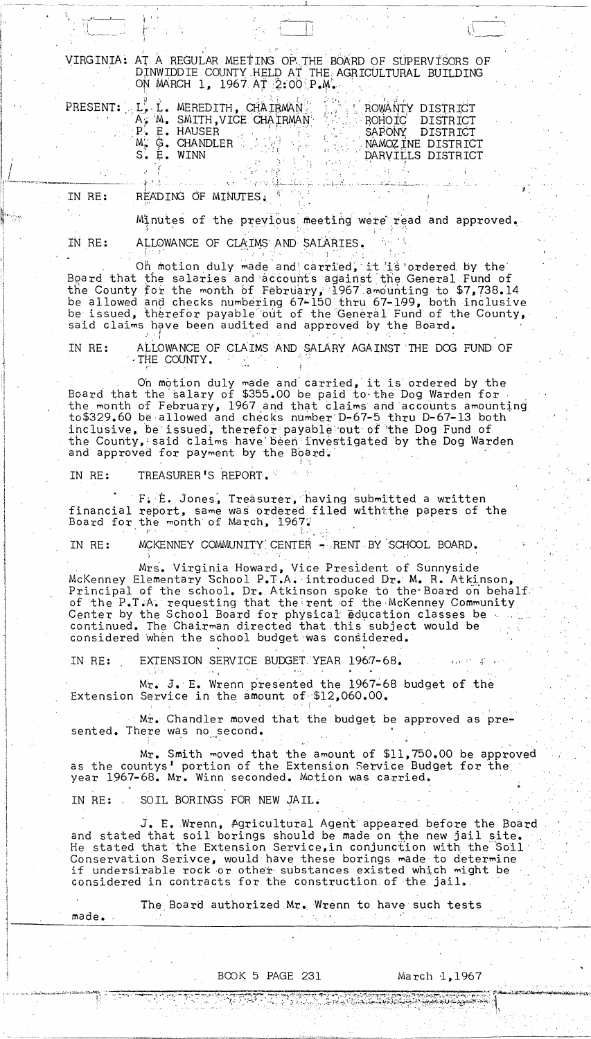VIRGINIA: AT A REGULAR MEETING OF THE BOARD OF SUPERVISORS OF DINWIDDIE COUNTY HELD AT THE AGRICULTURAL BUILDING ON MARCH 1, 1967 AT 2:00 P.M.

|            | PRESENT: L. L. MEREDITH, CHAIRMAN | <b>L ROWANTY DISTRICT</b> |                   |
|------------|-----------------------------------|---------------------------|-------------------|
|            | A. M. SMITH, VICE CHAIRMAN        | ROHOIC DISTRICT           |                   |
|            | P. E. HAUSER                      | SAPONY DISTRICT           |                   |
|            | M. G. CHANDLER A SAME             |                           | NAMOZINE DISTRICT |
| S. E. WINN |                                   |                           | DARVILLS DISTRICT |

READING OF MINUTES. IN RE:

> Minutes of the previous meeting were read and approved. ALLOWANCE OF CLAIMS AND SALARIES.

 $\mathcal{L}_{\text{max}}$  ,  $\mathcal{L}_{\text{max}}$ 

IN RE:

Oh motion duly made and carried, it is ordered by the Board that the salaries and accounts against the General Fund of the County for the month of February, 1967 amounting to \$7,738.14 be allowed and checks numbering 67-150 thru 67-199, both inclusive be issued, therefor payable out of the General Fund of the County, said claims have been audited and approved by the Board.

ALLOWANCE OF CLAIMS AND SALARY AGAINST THE DOG FUND OF IN RE: THE COUNTY.

On motion duly made and carried, it is ordered by the Board that the salary of \$355.00 be paid to the Dog Warden for the month of February, 1967 and that claims and accounts amounting to \$329.60 be allowed and checks number D-67-5 thru D-67-13 both inclusive, be issued, therefor payable out of the Dog Fund of the County, said claims have been investigated by the Dog Warden and approved for payment by the Board.

IN RE: TREASURER'S REPORT.

F. E. Jones, Treasurer, having submitted a written financial report, same was ordered filed withtthe papers of the Board for the month of March, 1967.

MCKENNEY COMMUNITY CENTER - RENT BY SCHOOL BOARD. IN RE:

Mrs. Virginia Howard, Vice President of Sunnyside McKenney Elementary School P.T.A. introduced Dr. M. R. Atkinson, Principal of the school. Dr. Atkinson spoke to the Board on behalf of the P.T.A. requesting that the rent of the McKenney Community Center by the School Board for physical education classes be continued. The Chairman directed that this subject would be considered when the school budget was considered.

EXTENSION SERVICE BUDGET YEAR 1967-68. IN RE:

Mr. J. E. Wrenn presented the 1967-68 budget of the Extension Service in the amount of \$12,060.00.

Mr. Chandler moved that the budget be approved as presented. There was no second.

Mr. Smith moved that the amount of \$11,750.00 be approved<br>as the countys' portion of the Extension Service Budget for the year 1967-68. Mr. Winn seconded. Motion was carried.

SOIL BORINGS FOR NEW JAIL. IN RE:

made.

J. E. Wrenn, Agricultural Agent appeared before the Board and stated that soil borings should be made on the new jail site. He stated that the Extension Service, in conjunction with the Soil Conservation Serivce, would have these borings made to determine if undersirable rock or other substances existed which might be considered in contracts for the construction of the jail.

The Board authorized Mr. Wrenn to have such tests

的复数根据的复数 化氧化物 经收益

## BOOK 5 PAGE 231